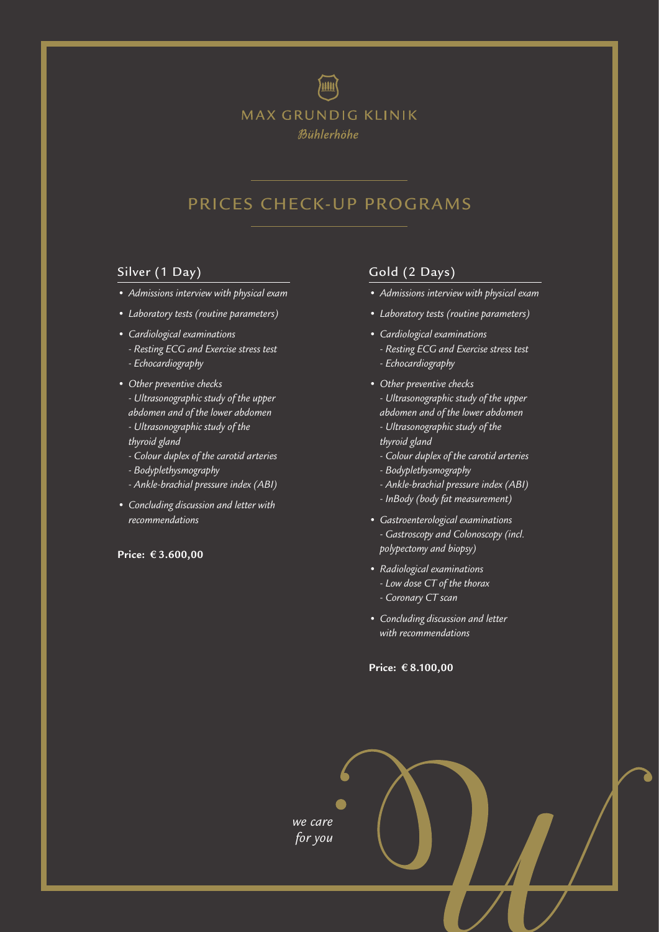

### PRICES CHECK-UP PROGRAMS

#### Silver (1 Day)

- *Admissions interview with physical exam*
- *Laboratory tests (routine parameters)*
- *Cardiological examinations*
	- *Resting ECG and Exercise stress test*
	- *Echocardiography*
- *Other preventive checks - Ultrasonographic study of the upper abdomen and of the lower abdomen*
	- *Ultrasonographic study of the*
	- *thyroid gland*
	- *Colour duplex of the carotid arteries*
	- *Bodyplethysmography*
	- *Ankle-brachial pressure index (ABI)*
- *Concluding discussion and letter with recommendations*

#### **Price: € 3.600,00**

#### Gold (2 Days)

- *• Admissions interview with physical exam*
- *• Laboratory tests (routine parameters)*
- *Cardiological examinations* 
	- *Resting ECG and Exercise stress test - Echocardiography*
- *Other preventive checks - Ultrasonographic study of the upper abdomen and of the lower abdomen*
	- *Ultrasonographic study of the*
	- *thyroid gland*
	- *Colour duplex of the carotid arteries*
	- *Bodyplethysmography*
	- *Ankle-brachial pressure index (ABI)*
	- *InBody (body fat measurement)*
- *Gastroenterological examinations - Gastroscopy and Colonoscopy (incl. polypectomy and biopsy)*
- *Radiological examinations - Low dose CT of the thorax - Coronary CT scan*
- *Concluding discussion and letter with recommendations*

**Price: € 8.100,00**

*we care for you*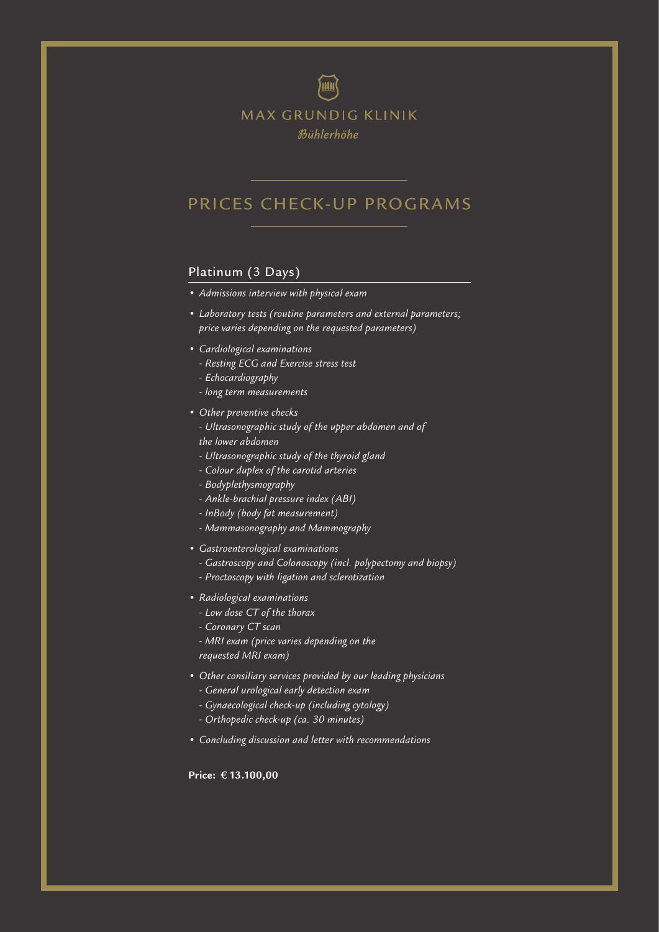

**MAX GRUNDIG KLINIK** Bühlerhöhe

### PRICES CHECK-UP PROGRAMS

#### Platinum (3 Days)

- *Admissions interview with physical exam*
- *Laboratory tests (routine parameters and external parameters; price varies depending on the requested parameters)*
- *Cardiological examinations* 
	- *Resting ECG and Exercise stress test*
	- *Echocardiography*
	- *long term measurements*
- *Other preventive checks*
	- *Ultrasonographic study of the upper abdomen and of the lower abdomen*
	- *Ultrasonographic study of the thyroid gland*
	- *Colour duplex of the carotid arteries*
	- *Bodyplethysmography*
	- *Ankle-brachial pressure index (ABI)*
	- *InBody (body fat measurement)*
	- *Mammasonography and Mammography*
- *Gastroenterological examinations* 
	- *Gastroscopy and Colonoscopy (incl. polypectomy and biopsy)*
	- *Proctoscopy with ligation and sclerotization*
- *Radiological examinations* 
	- *Low dose CT of the thorax*
	- *Coronary CT scan*
	- *MRI exam (price varies depending on the requested MRI exam)*
- *Other consiliary services provided by our leading physicians - General urological early detection exam*
	- *Gynaecological check-up (including cytology)*
	- *Orthopedic check-up (ca. 30 minutes)*
- *• Concluding discussion and letter with recommendations*

**Price: € 13.100,00**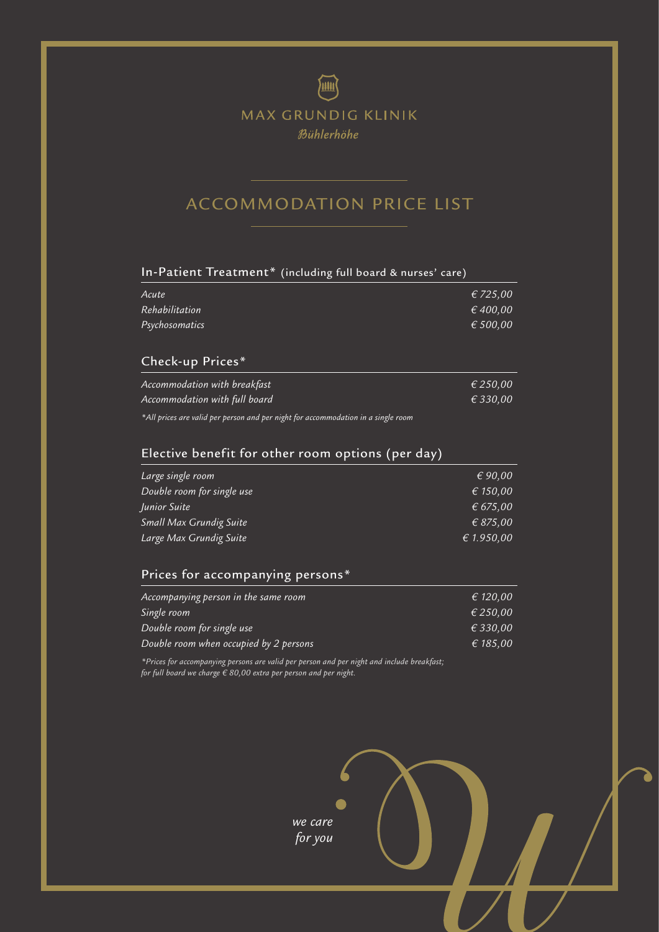## **THE** MAX GRUNDIG KLINIK Bühlerhöhe

## ACCOMMODATION PRICE LIST

#### In-Patient Treatment\* (including full board & nurses' care)

| Acute                                                                    | $\epsilon$ 725,00 |
|--------------------------------------------------------------------------|-------------------|
| $\overline{\phantom{\cdot}}$ Rehabilitation $\overline{\phantom{\cdot}}$ | € 400,00          |
| Psychosomatics                                                           | € 500,00          |

### Check-up Prices\*

| Accommodation with breakfast       |  |  | € 250,00          |
|------------------------------------|--|--|-------------------|
| Accommodation with full board      |  |  | $\epsilon$ 330.00 |
| $\sim$ $\sim$ $\sim$ $\sim$ $\sim$ |  |  |                   |

*\*All prices are valid per person and per night for accommodation in a single room*

| Elective benefit for other room options (per day) |                  |  |
|---------------------------------------------------|------------------|--|
| Large single room                                 | $\epsilon$ 90,00 |  |
| Double room for single use                        | € 150,00         |  |
| Junior Suite                                      | € 675,00         |  |
| Small Max Grundig Suite                           | € 875,00         |  |
| Large Max Grundig Suite                           | € 1.950,00       |  |

#### Prices for accompanying persons\*

| Accompanying person in the same room   | € 120.00 |
|----------------------------------------|----------|
| Single room                            | € 250.00 |
| Double room for single use             | € 330.00 |
| Double room when occupied by 2 persons | € 185.00 |

*\*Prices for accompanying persons are valid per person and per night and include breakfast; for full board we charge € 80,00 extra per person and per night.* 

> *we care for you*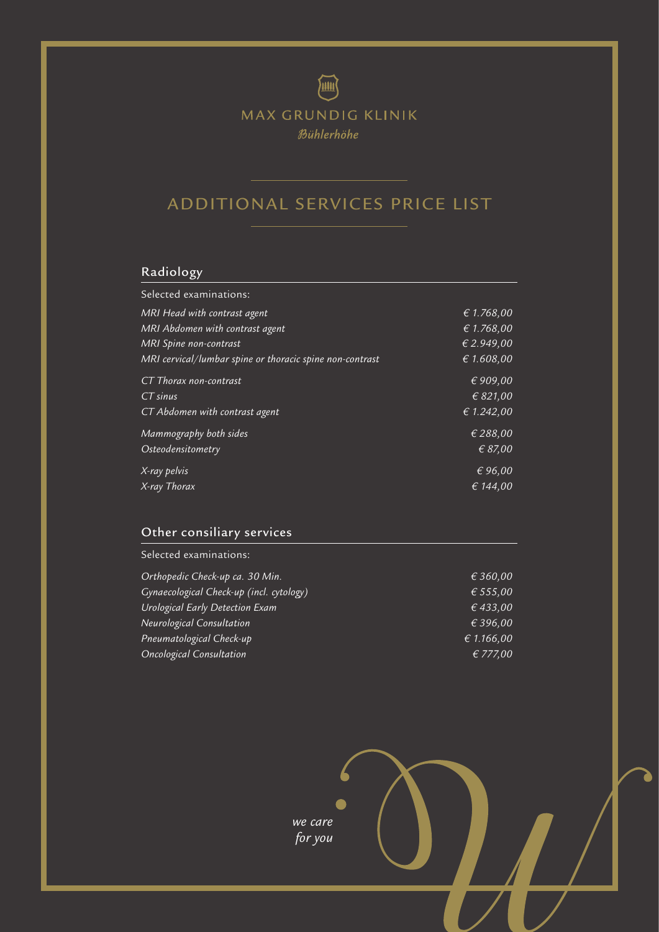画 MAX GRUNDIG KLINIK

Bühlerhöhe

## ADDITIONAL SERVICES PRICE LIST

### Radiology

| Selected examinations:                                   |            |
|----------------------------------------------------------|------------|
| MRI Head with contrast agent                             | € 1.768,00 |
| MRI Abdomen with contrast agent                          | € 1.768,00 |
| <b>MRI</b> Spine non-contrast                            | € 2.949,00 |
| MRI cervical/lumbar spine or thoracic spine non-contrast | € 1.608,00 |
| CT Thorax non-contrast                                   | €909,00    |
| $CT \overline{\text{sinus}}$                             | € 821,00   |
| CT Abdomen with contrast agent                           | € 1.242,00 |
| Mammography both sides                                   | € 288,00   |
| <i>Osteodensitometry</i>                                 | € 87,00    |
| X-ray pelvis                                             | € 96,00    |
| X-ray Thorax                                             | € 144,00   |

### Other consiliary services

Selected examinations:

| Orthopedic Check-up ca. 30 Min.          | € 360,00   |
|------------------------------------------|------------|
| Gynaecological Check-up (incl. cytology) | € 555,00   |
| Urological Early Detection Exam          | € 433,00   |
| Neurological Consultation                | € 396,00   |
| Pneumatological Check-up                 | € 1.166,00 |
| <b>Oncological Consultation</b>          | € 777,00   |

*we care for you*